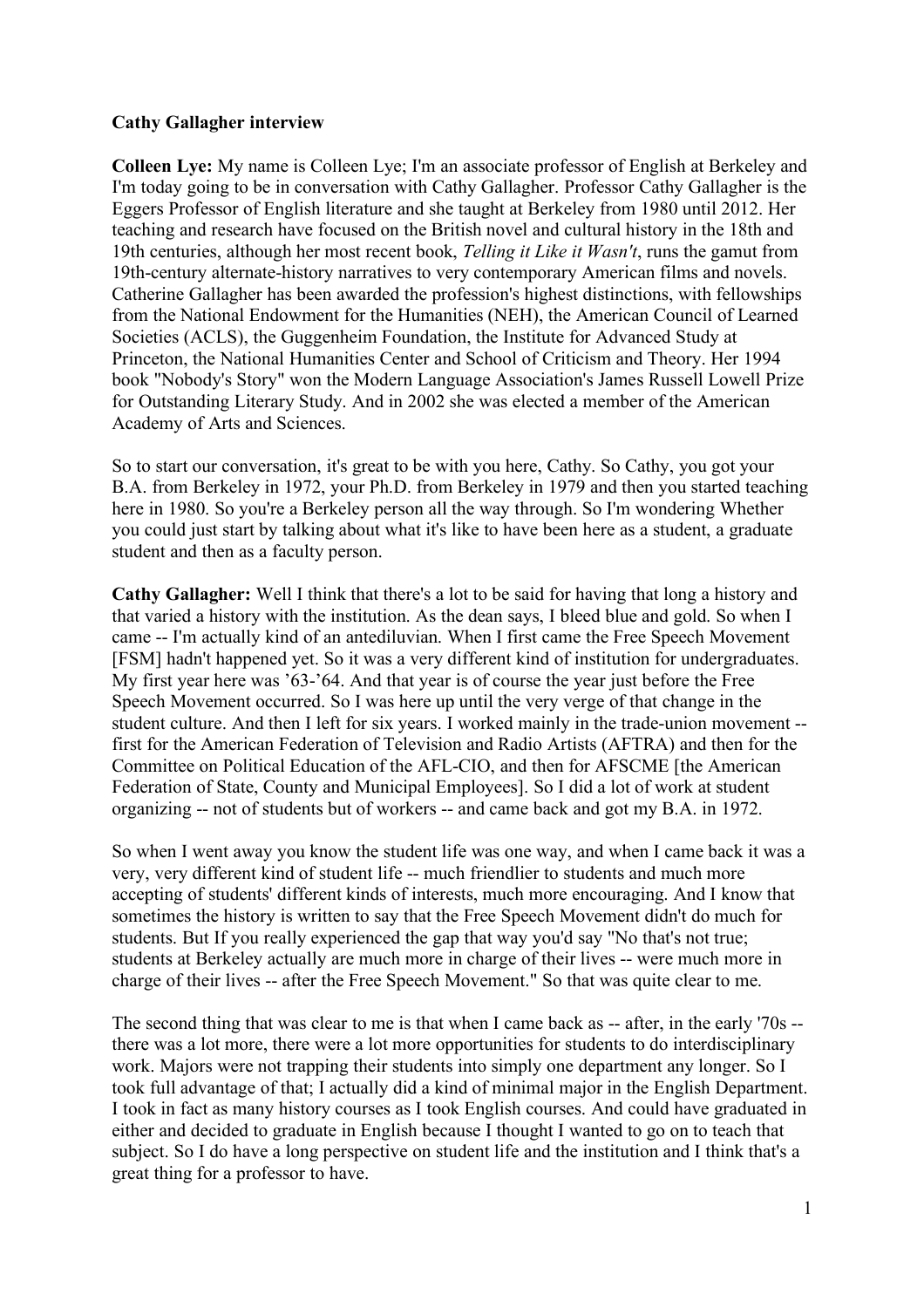#### **Cathy Gallagher interview**

**Colleen Lye:** My name is Colleen Lye; I'm an associate professor of English at Berkeley and I'm today going to be in conversation with Cathy Gallagher. Professor Cathy Gallagher is the Eggers Professor of English literature and she taught at Berkeley from 1980 until 2012. Her teaching and research have focused on the British novel and cultural history in the 18th and 19th centuries, although her most recent book, *Telling it Like it Wasn't*, runs the gamut from 19th-century alternate-history narratives to very contemporary American films and novels. Catherine Gallagher has been awarded the profession's highest distinctions, with fellowships from the National Endowment for the Humanities (NEH), the American Council of Learned Societies (ACLS), the Guggenheim Foundation, the Institute for Advanced Study at Princeton, the National Humanities Center and School of Criticism and Theory. Her 1994 book "Nobody's Story" won the Modern Language Association's James Russell Lowell Prize for Outstanding Literary Study. And in 2002 she was elected a member of the American Academy of Arts and Sciences.

So to start our conversation, it's great to be with you here, Cathy. So Cathy, you got your B.A. from Berkeley in 1972, your Ph.D. from Berkeley in 1979 and then you started teaching here in 1980. So you're a Berkeley person all the way through. So I'm wondering Whether you could just start by talking about what it's like to have been here as a student, a graduate student and then as a faculty person.

**Cathy Gallagher:** Well I think that there's a lot to be said for having that long a history and that varied a history with the institution. As the dean says, I bleed blue and gold. So when I came -- I'm actually kind of an antediluvian. When I first came the Free Speech Movement [FSM] hadn't happened yet. So it was a very different kind of institution for undergraduates. My first year here was '63-'64. And that year is of course the year just before the Free Speech Movement occurred. So I was here up until the very verge of that change in the student culture. And then I left for six years. I worked mainly in the trade-union movement - first for the American Federation of Television and Radio Artists (AFTRA) and then for the Committee on Political Education of the AFL-CIO, and then for AFSCME [the American Federation of State, County and Municipal Employees]. So I did a lot of work at student organizing -- not of students but of workers -- and came back and got my B.A. in 1972.

So when I went away you know the student life was one way, and when I came back it was a very, very different kind of student life -- much friendlier to students and much more accepting of students' different kinds of interests, much more encouraging. And I know that sometimes the history is written to say that the Free Speech Movement didn't do much for students. But If you really experienced the gap that way you'd say "No that's not true; students at Berkeley actually are much more in charge of their lives -- were much more in charge of their lives -- after the Free Speech Movement." So that was quite clear to me.

The second thing that was clear to me is that when I came back as -- after, in the early '70s - there was a lot more, there were a lot more opportunities for students to do interdisciplinary work. Majors were not trapping their students into simply one department any longer. So I took full advantage of that; I actually did a kind of minimal major in the English Department. I took in fact as many history courses as I took English courses. And could have graduated in either and decided to graduate in English because I thought I wanted to go on to teach that subject. So I do have a long perspective on student life and the institution and I think that's a great thing for a professor to have.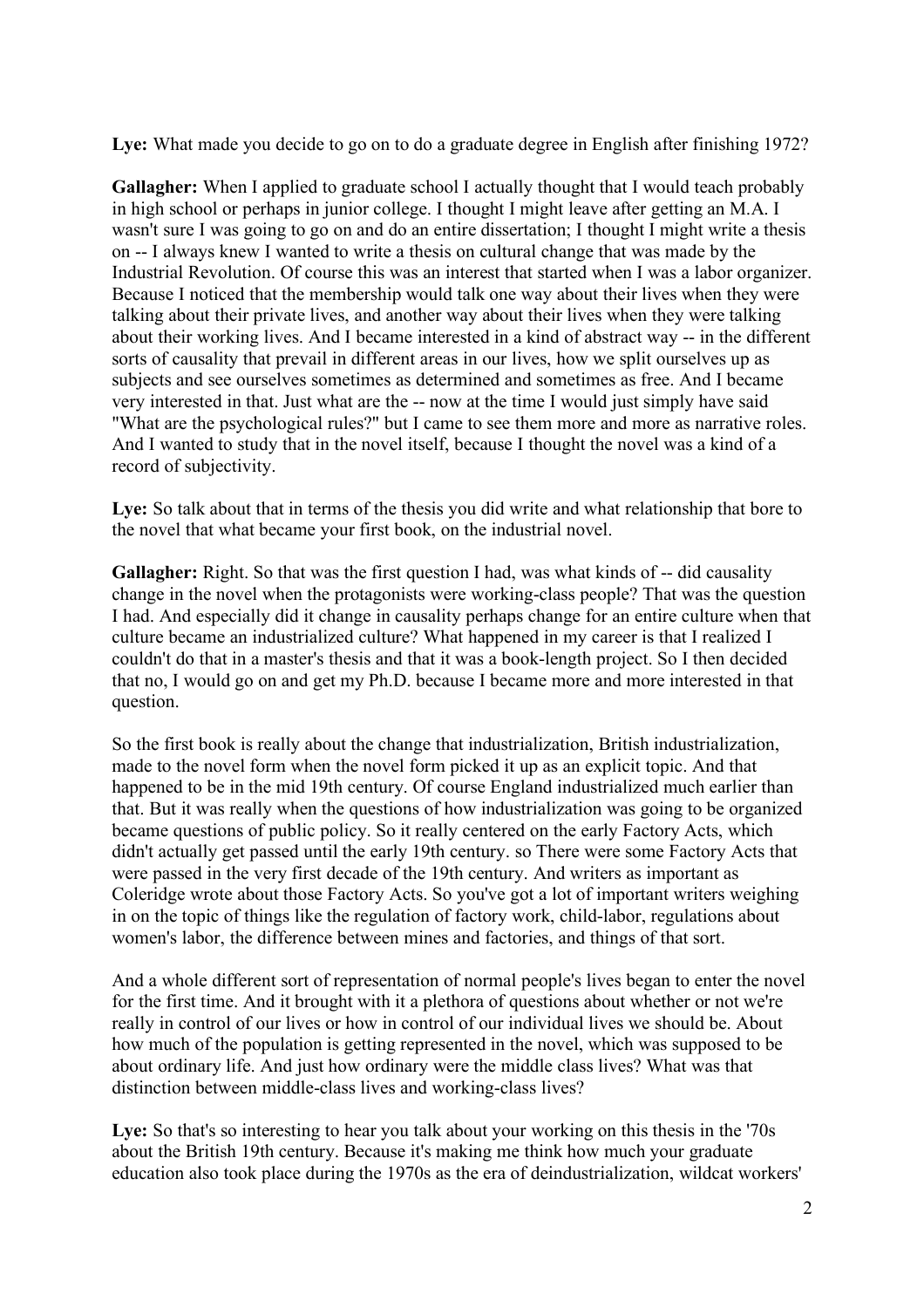Lye: What made you decide to go on to do a graduate degree in English after finishing 1972?

**Gallagher:** When I applied to graduate school I actually thought that I would teach probably in high school or perhaps in junior college. I thought I might leave after getting an M.A. I wasn't sure I was going to go on and do an entire dissertation; I thought I might write a thesis on -- I always knew I wanted to write a thesis on cultural change that was made by the Industrial Revolution. Of course this was an interest that started when I was a labor organizer. Because I noticed that the membership would talk one way about their lives when they were talking about their private lives, and another way about their lives when they were talking about their working lives. And I became interested in a kind of abstract way -- in the different sorts of causality that prevail in different areas in our lives, how we split ourselves up as subjects and see ourselves sometimes as determined and sometimes as free. And I became very interested in that. Just what are the -- now at the time I would just simply have said "What are the psychological rules?" but I came to see them more and more as narrative roles. And I wanted to study that in the novel itself, because I thought the novel was a kind of a record of subjectivity.

Lye: So talk about that in terms of the thesis you did write and what relationship that bore to the novel that what became your first book, on the industrial novel.

**Gallagher:** Right. So that was the first question I had, was what kinds of -- did causality change in the novel when the protagonists were working-class people? That was the question I had. And especially did it change in causality perhaps change for an entire culture when that culture became an industrialized culture? What happened in my career is that I realized I couldn't do that in a master's thesis and that it was a book-length project. So I then decided that no, I would go on and get my Ph.D. because I became more and more interested in that question.

So the first book is really about the change that industrialization, British industrialization, made to the novel form when the novel form picked it up as an explicit topic. And that happened to be in the mid 19th century. Of course England industrialized much earlier than that. But it was really when the questions of how industrialization was going to be organized became questions of public policy. So it really centered on the early Factory Acts, which didn't actually get passed until the early 19th century. so There were some Factory Acts that were passed in the very first decade of the 19th century. And writers as important as Coleridge wrote about those Factory Acts. So you've got a lot of important writers weighing in on the topic of things like the regulation of factory work, child-labor, regulations about women's labor, the difference between mines and factories, and things of that sort.

And a whole different sort of representation of normal people's lives began to enter the novel for the first time. And it brought with it a plethora of questions about whether or not we're really in control of our lives or how in control of our individual lives we should be. About how much of the population is getting represented in the novel, which was supposed to be about ordinary life. And just how ordinary were the middle class lives? What was that distinction between middle-class lives and working-class lives?

Lye: So that's so interesting to hear you talk about your working on this thesis in the '70s about the British 19th century. Because it's making me think how much your graduate education also took place during the 1970s as the era of deindustrialization, wildcat workers'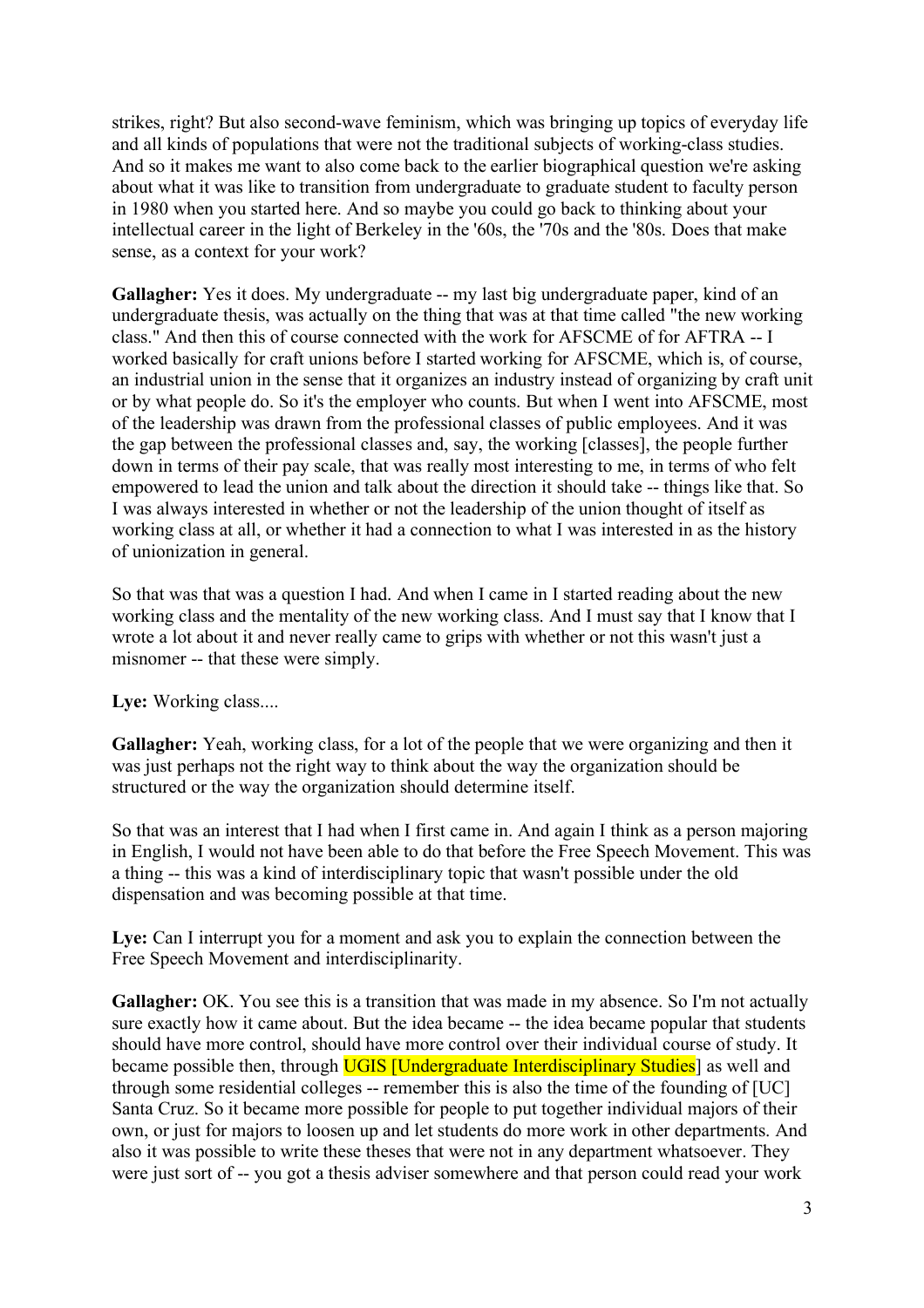strikes, right? But also second-wave feminism, which was bringing up topics of everyday life and all kinds of populations that were not the traditional subjects of working-class studies. And so it makes me want to also come back to the earlier biographical question we're asking about what it was like to transition from undergraduate to graduate student to faculty person in 1980 when you started here. And so maybe you could go back to thinking about your intellectual career in the light of Berkeley in the '60s, the '70s and the '80s. Does that make sense, as a context for your work?

**Gallagher:** Yes it does. My undergraduate -- my last big undergraduate paper, kind of an undergraduate thesis, was actually on the thing that was at that time called "the new working class." And then this of course connected with the work for AFSCME of for AFTRA -- I worked basically for craft unions before I started working for AFSCME, which is, of course, an industrial union in the sense that it organizes an industry instead of organizing by craft unit or by what people do. So it's the employer who counts. But when I went into AFSCME, most of the leadership was drawn from the professional classes of public employees. And it was the gap between the professional classes and, say, the working [classes], the people further down in terms of their pay scale, that was really most interesting to me, in terms of who felt empowered to lead the union and talk about the direction it should take -- things like that. So I was always interested in whether or not the leadership of the union thought of itself as working class at all, or whether it had a connection to what I was interested in as the history of unionization in general.

So that was that was a question I had. And when I came in I started reading about the new working class and the mentality of the new working class. And I must say that I know that I wrote a lot about it and never really came to grips with whether or not this wasn't just a misnomer -- that these were simply.

# Lye: Working class....

Gallagher: Yeah, working class, for a lot of the people that we were organizing and then it was just perhaps not the right way to think about the way the organization should be structured or the way the organization should determine itself.

So that was an interest that I had when I first came in. And again I think as a person majoring in English, I would not have been able to do that before the Free Speech Movement. This was a thing -- this was a kind of interdisciplinary topic that wasn't possible under the old dispensation and was becoming possible at that time.

Lye: Can I interrupt you for a moment and ask you to explain the connection between the Free Speech Movement and interdisciplinarity.

**Gallagher:** OK. You see this is a transition that was made in my absence. So I'm not actually sure exactly how it came about. But the idea became -- the idea became popular that students should have more control, should have more control over their individual course of study. It became possible then, through **UGIS** [Undergraduate Interdisciplinary Studies] as well and through some residential colleges -- remember this is also the time of the founding of [UC] Santa Cruz. So it became more possible for people to put together individual majors of their own, or just for majors to loosen up and let students do more work in other departments. And also it was possible to write these theses that were not in any department whatsoever. They were just sort of -- you got a thesis adviser somewhere and that person could read your work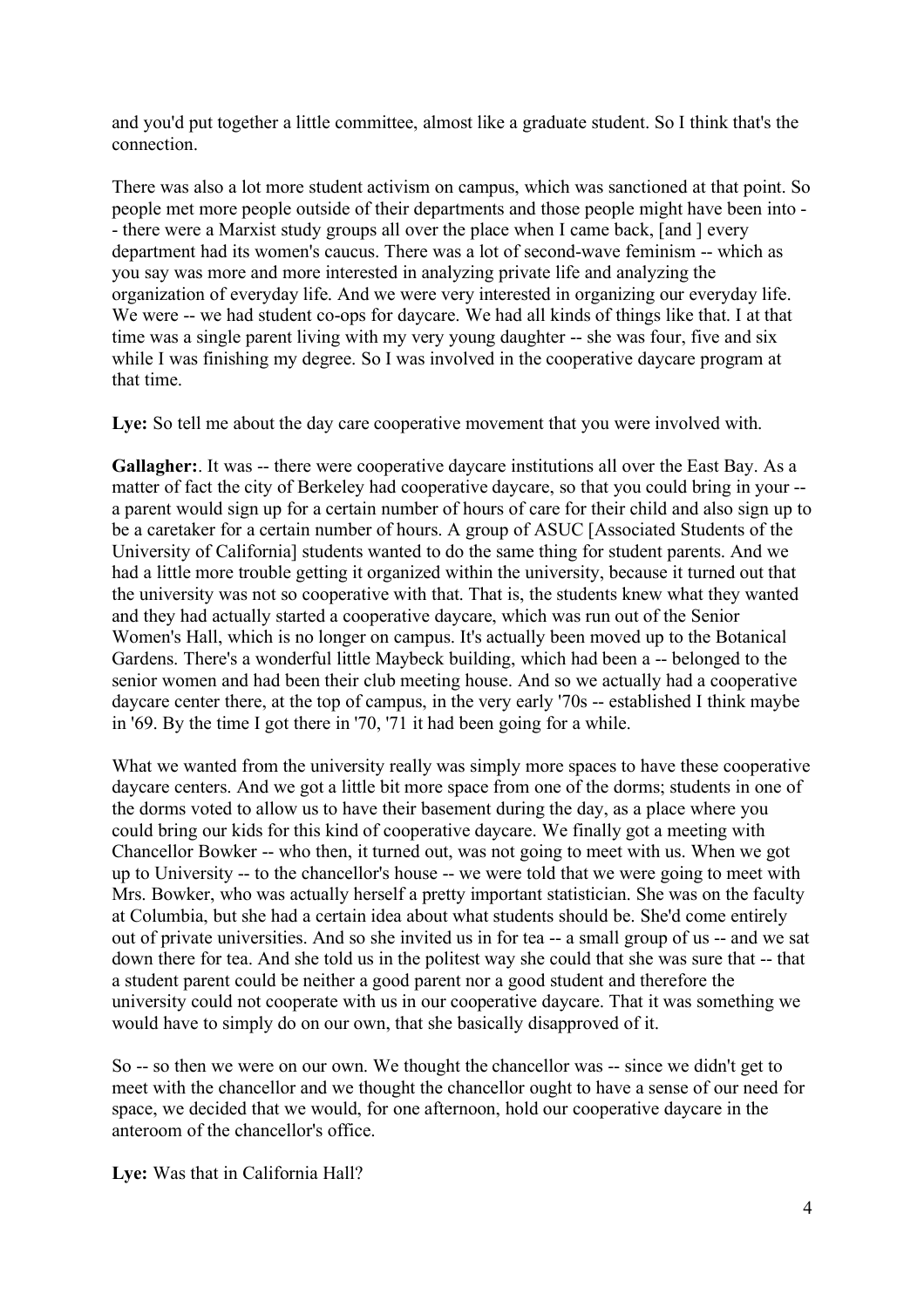and you'd put together a little committee, almost like a graduate student. So I think that's the connection.

There was also a lot more student activism on campus, which was sanctioned at that point. So people met more people outside of their departments and those people might have been into - - there were a Marxist study groups all over the place when I came back, [and ] every department had its women's caucus. There was a lot of second-wave feminism -- which as you say was more and more interested in analyzing private life and analyzing the organization of everyday life. And we were very interested in organizing our everyday life. We were -- we had student co-ops for daycare. We had all kinds of things like that. I at that time was a single parent living with my very young daughter -- she was four, five and six while I was finishing my degree. So I was involved in the cooperative daycare program at that time.

**Lye:** So tell me about the day care cooperative movement that you were involved with.

Gallagher: It was -- there were cooperative daycare institutions all over the East Bay. As a matter of fact the city of Berkeley had cooperative daycare, so that you could bring in your - a parent would sign up for a certain number of hours of care for their child and also sign up to be a caretaker for a certain number of hours. A group of ASUC [Associated Students of the University of California] students wanted to do the same thing for student parents. And we had a little more trouble getting it organized within the university, because it turned out that the university was not so cooperative with that. That is, the students knew what they wanted and they had actually started a cooperative daycare, which was run out of the Senior Women's Hall, which is no longer on campus. It's actually been moved up to the Botanical Gardens. There's a wonderful little Maybeck building, which had been a -- belonged to the senior women and had been their club meeting house. And so we actually had a cooperative daycare center there, at the top of campus, in the very early '70s -- established I think maybe in '69. By the time I got there in '70, '71 it had been going for a while.

What we wanted from the university really was simply more spaces to have these cooperative daycare centers. And we got a little bit more space from one of the dorms; students in one of the dorms voted to allow us to have their basement during the day, as a place where you could bring our kids for this kind of cooperative daycare. We finally got a meeting with Chancellor Bowker -- who then, it turned out, was not going to meet with us. When we got up to University -- to the chancellor's house -- we were told that we were going to meet with Mrs. Bowker, who was actually herself a pretty important statistician. She was on the faculty at Columbia, but she had a certain idea about what students should be. She'd come entirely out of private universities. And so she invited us in for tea -- a small group of us -- and we sat down there for tea. And she told us in the politest way she could that she was sure that -- that a student parent could be neither a good parent nor a good student and therefore the university could not cooperate with us in our cooperative daycare. That it was something we would have to simply do on our own, that she basically disapproved of it.

So -- so then we were on our own. We thought the chancellor was -- since we didn't get to meet with the chancellor and we thought the chancellor ought to have a sense of our need for space, we decided that we would, for one afternoon, hold our cooperative daycare in the anteroom of the chancellor's office.

**Lye:** Was that in California Hall?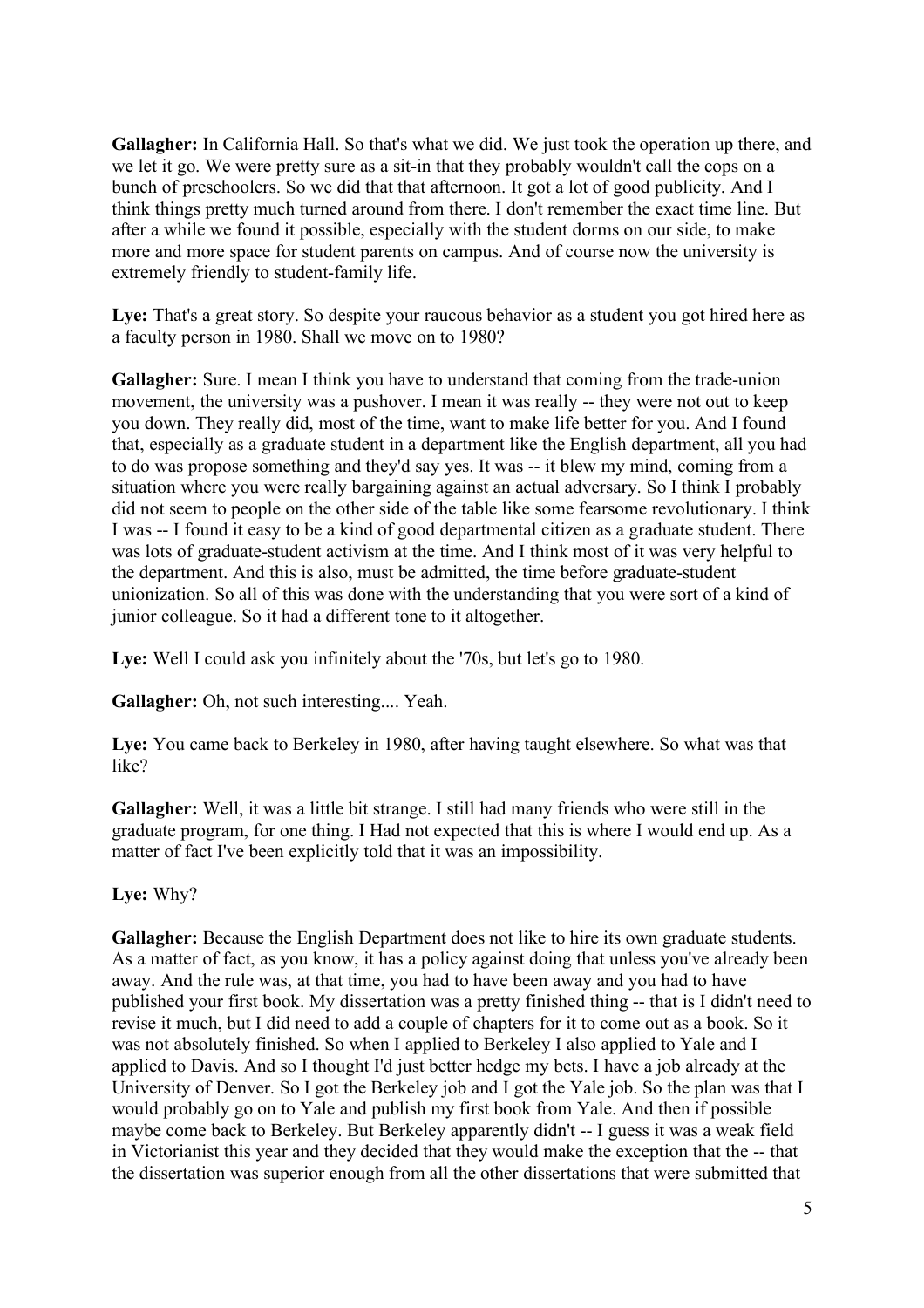**Gallagher:** In California Hall. So that's what we did. We just took the operation up there, and we let it go. We were pretty sure as a sit-in that they probably wouldn't call the cops on a bunch of preschoolers. So we did that that afternoon. It got a lot of good publicity. And I think things pretty much turned around from there. I don't remember the exact time line. But after a while we found it possible, especially with the student dorms on our side, to make more and more space for student parents on campus. And of course now the university is extremely friendly to student-family life.

Lye: That's a great story. So despite your raucous behavior as a student you got hired here as a faculty person in 1980. Shall we move on to 1980?

Gallagher: Sure. I mean I think you have to understand that coming from the trade-union movement, the university was a pushover. I mean it was really -- they were not out to keep you down. They really did, most of the time, want to make life better for you. And I found that, especially as a graduate student in a department like the English department, all you had to do was propose something and they'd say yes. It was -- it blew my mind, coming from a situation where you were really bargaining against an actual adversary. So I think I probably did not seem to people on the other side of the table like some fearsome revolutionary. I think I was -- I found it easy to be a kind of good departmental citizen as a graduate student. There was lots of graduate-student activism at the time. And I think most of it was very helpful to the department. And this is also, must be admitted, the time before graduate-student unionization. So all of this was done with the understanding that you were sort of a kind of junior colleague. So it had a different tone to it altogether.

Lye: Well I could ask you infinitely about the '70s, but let's go to 1980.

**Gallagher:** Oh, not such interesting.... Yeah.

**Lye:** You came back to Berkeley in 1980, after having taught elsewhere. So what was that like?

**Gallagher:** Well, it was a little bit strange. I still had many friends who were still in the graduate program, for one thing. I Had not expected that this is where I would end up. As a matter of fact I've been explicitly told that it was an impossibility.

**Lye:** Why?

**Gallagher:** Because the English Department does not like to hire its own graduate students. As a matter of fact, as you know, it has a policy against doing that unless you've already been away. And the rule was, at that time, you had to have been away and you had to have published your first book. My dissertation was a pretty finished thing -- that is I didn't need to revise it much, but I did need to add a couple of chapters for it to come out as a book. So it was not absolutely finished. So when I applied to Berkeley I also applied to Yale and I applied to Davis. And so I thought I'd just better hedge my bets. I have a job already at the University of Denver. So I got the Berkeley job and I got the Yale job. So the plan was that I would probably go on to Yale and publish my first book from Yale. And then if possible maybe come back to Berkeley. But Berkeley apparently didn't -- I guess it was a weak field in Victorianist this year and they decided that they would make the exception that the -- that the dissertation was superior enough from all the other dissertations that were submitted that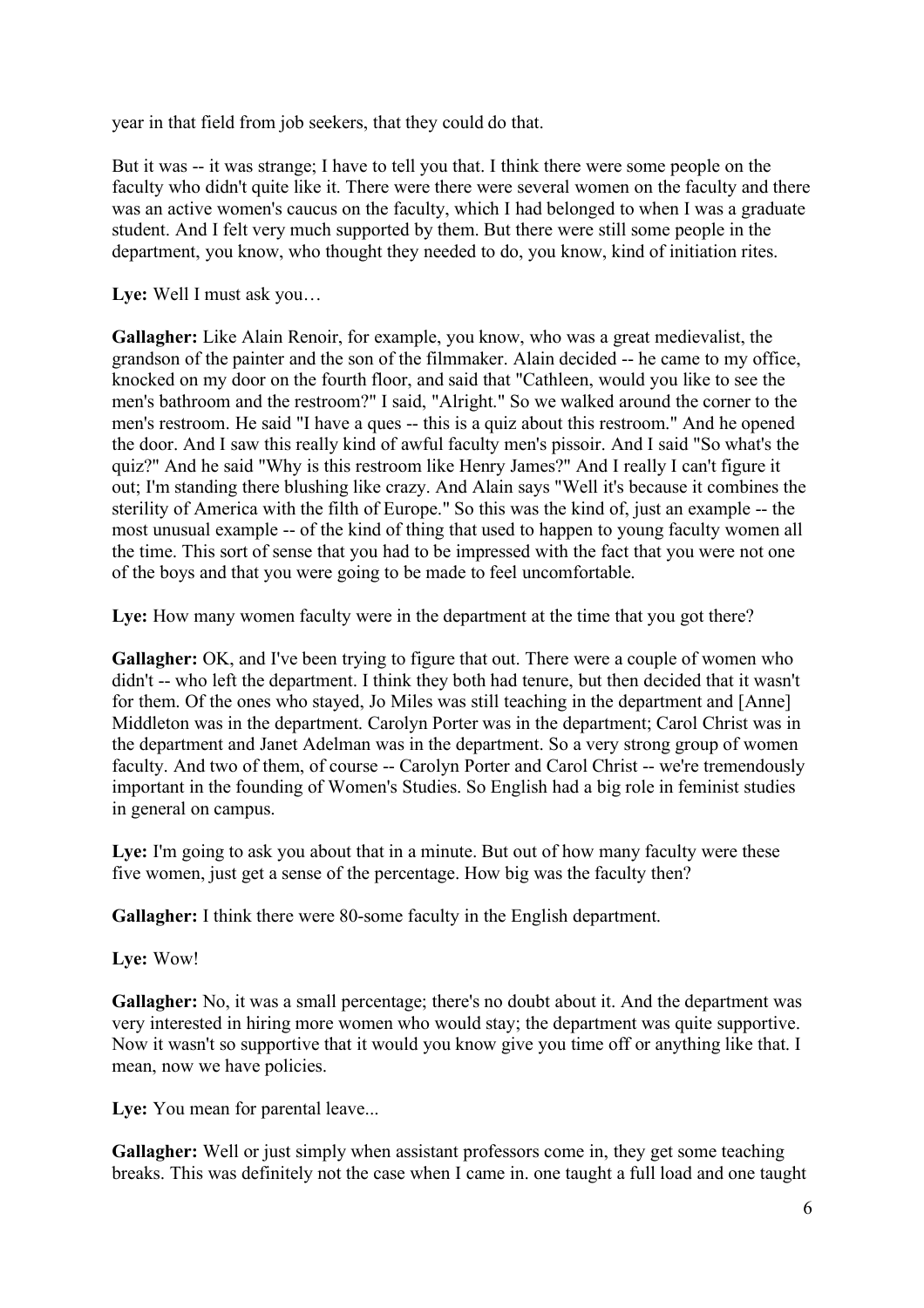year in that field from job seekers, that they could do that.

But it was -- it was strange; I have to tell you that. I think there were some people on the faculty who didn't quite like it. There were there were several women on the faculty and there was an active women's caucus on the faculty, which I had belonged to when I was a graduate student. And I felt very much supported by them. But there were still some people in the department, you know, who thought they needed to do, you know, kind of initiation rites.

**Lye:** Well I must ask you…

**Gallagher:** Like Alain Renoir, for example, you know, who was a great medievalist, the grandson of the painter and the son of the filmmaker. Alain decided -- he came to my office, knocked on my door on the fourth floor, and said that "Cathleen, would you like to see the men's bathroom and the restroom?" I said, "Alright." So we walked around the corner to the men's restroom. He said "I have a ques -- this is a quiz about this restroom." And he opened the door. And I saw this really kind of awful faculty men's pissoir. And I said "So what's the quiz?" And he said "Why is this restroom like Henry James?" And I really I can't figure it out; I'm standing there blushing like crazy. And Alain says "Well it's because it combines the sterility of America with the filth of Europe." So this was the kind of, just an example -- the most unusual example -- of the kind of thing that used to happen to young faculty women all the time. This sort of sense that you had to be impressed with the fact that you were not one of the boys and that you were going to be made to feel uncomfortable.

Lye: How many women faculty were in the department at the time that you got there?

**Gallagher:** OK, and I've been trying to figure that out. There were a couple of women who didn't -- who left the department. I think they both had tenure, but then decided that it wasn't for them. Of the ones who stayed, Jo Miles was still teaching in the department and [Anne] Middleton was in the department. Carolyn Porter was in the department; Carol Christ was in the department and Janet Adelman was in the department. So a very strong group of women faculty. And two of them, of course -- Carolyn Porter and Carol Christ -- we're tremendously important in the founding of Women's Studies. So English had a big role in feminist studies in general on campus.

Lye: I'm going to ask you about that in a minute. But out of how many faculty were these five women, just get a sense of the percentage. How big was the faculty then?

**Gallagher:** I think there were 80-some faculty in the English department.

**Lye:** Wow!

**Gallagher:** No, it was a small percentage; there's no doubt about it. And the department was very interested in hiring more women who would stay; the department was quite supportive. Now it wasn't so supportive that it would you know give you time off or anything like that. I mean, now we have policies.

Lye: You mean for parental leave...

**Gallagher:** Well or just simply when assistant professors come in, they get some teaching breaks. This was definitely not the case when I came in. one taught a full load and one taught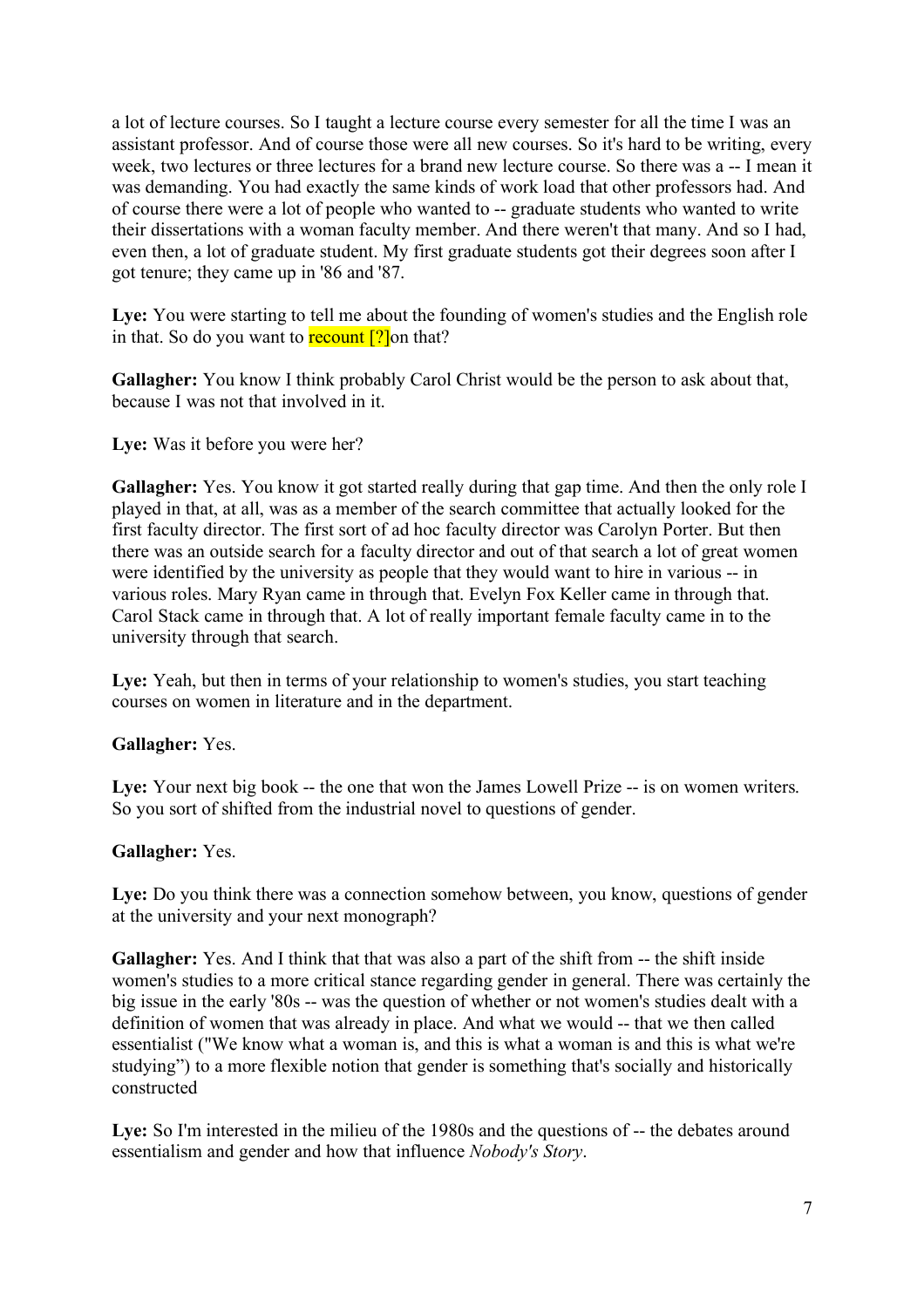a lot of lecture courses. So I taught a lecture course every semester for all the time I was an assistant professor. And of course those were all new courses. So it's hard to be writing, every week, two lectures or three lectures for a brand new lecture course. So there was a -- I mean it was demanding. You had exactly the same kinds of work load that other professors had. And of course there were a lot of people who wanted to -- graduate students who wanted to write their dissertations with a woman faculty member. And there weren't that many. And so I had, even then, a lot of graduate student. My first graduate students got their degrees soon after I got tenure; they came up in '86 and '87.

Lye: You were starting to tell me about the founding of women's studies and the English role in that. So do you want to **recount**  $[?]$  on that?

**Gallagher:** You know I think probably Carol Christ would be the person to ask about that, because I was not that involved in it.

Lye: Was it before you were her?

Gallagher: Yes. You know it got started really during that gap time. And then the only role I played in that, at all, was as a member of the search committee that actually looked for the first faculty director. The first sort of ad hoc faculty director was Carolyn Porter. But then there was an outside search for a faculty director and out of that search a lot of great women were identified by the university as people that they would want to hire in various -- in various roles. Mary Ryan came in through that. Evelyn Fox Keller came in through that. Carol Stack came in through that. A lot of really important female faculty came in to the university through that search.

Lye: Yeah, but then in terms of your relationship to women's studies, you start teaching courses on women in literature and in the department.

# **Gallagher:** Yes.

Lye: Your next big book -- the one that won the James Lowell Prize -- is on women writers. So you sort of shifted from the industrial novel to questions of gender.

#### **Gallagher:** Yes.

Lye: Do you think there was a connection somehow between, you know, questions of gender at the university and your next monograph?

Gallagher: Yes. And I think that that was also a part of the shift from -- the shift inside women's studies to a more critical stance regarding gender in general. There was certainly the big issue in the early '80s -- was the question of whether or not women's studies dealt with a definition of women that was already in place. And what we would -- that we then called essentialist ("We know what a woman is, and this is what a woman is and this is what we're studying") to a more flexible notion that gender is something that's socially and historically constructed

Lye: So I'm interested in the milieu of the 1980s and the questions of -- the debates around essentialism and gender and how that influence *Nobody's Story*.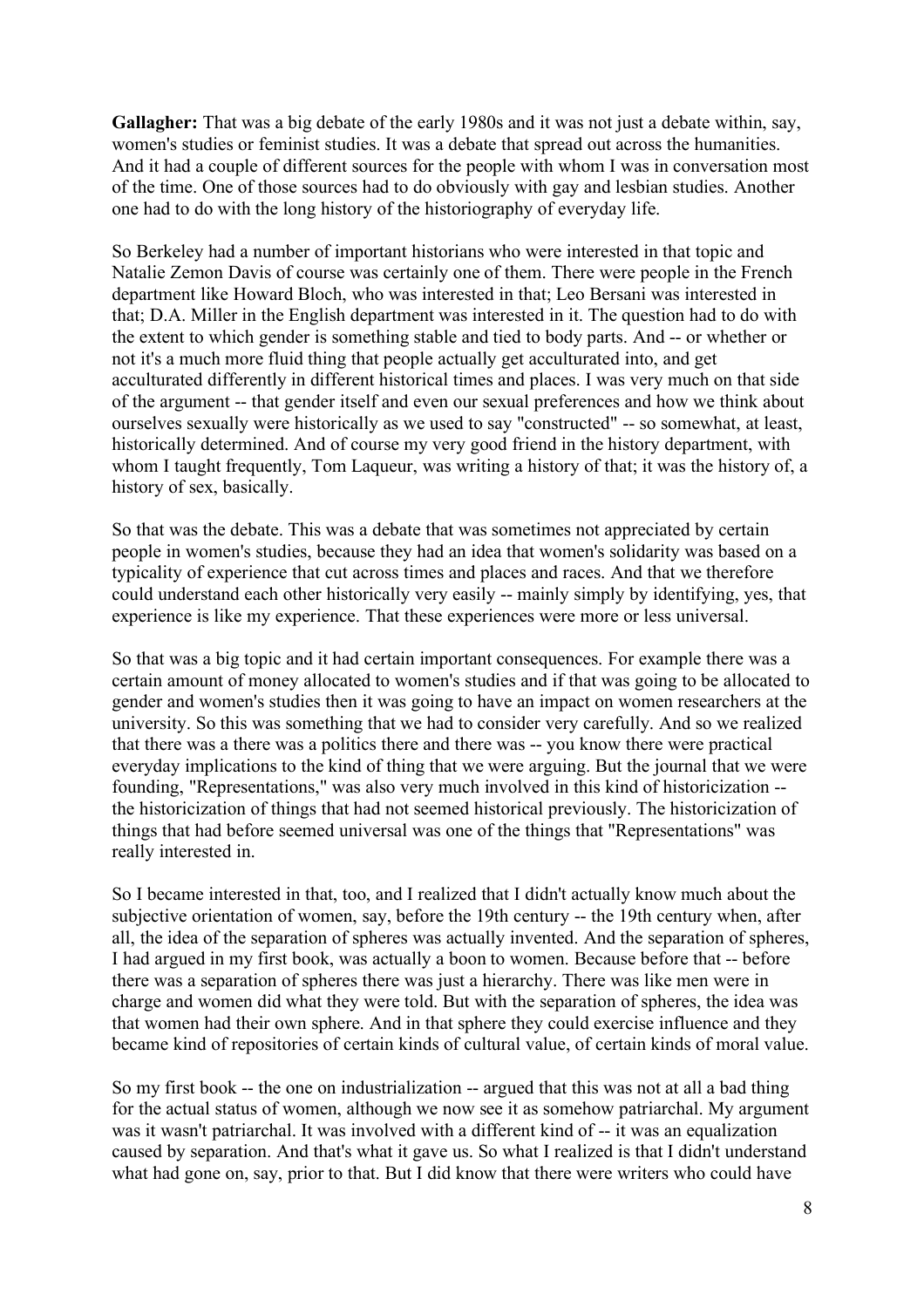**Gallagher:** That was a big debate of the early 1980s and it was not just a debate within, say, women's studies or feminist studies. It was a debate that spread out across the humanities. And it had a couple of different sources for the people with whom I was in conversation most of the time. One of those sources had to do obviously with gay and lesbian studies. Another one had to do with the long history of the historiography of everyday life.

So Berkeley had a number of important historians who were interested in that topic and Natalie Zemon Davis of course was certainly one of them. There were people in the French department like Howard Bloch, who was interested in that; Leo Bersani was interested in that; D.A. Miller in the English department was interested in it. The question had to do with the extent to which gender is something stable and tied to body parts. And -- or whether or not it's a much more fluid thing that people actually get acculturated into, and get acculturated differently in different historical times and places. I was very much on that side of the argument -- that gender itself and even our sexual preferences and how we think about ourselves sexually were historically as we used to say "constructed" -- so somewhat, at least, historically determined. And of course my very good friend in the history department, with whom I taught frequently, Tom Laqueur, was writing a history of that; it was the history of, a history of sex, basically.

So that was the debate. This was a debate that was sometimes not appreciated by certain people in women's studies, because they had an idea that women's solidarity was based on a typicality of experience that cut across times and places and races. And that we therefore could understand each other historically very easily -- mainly simply by identifying, yes, that experience is like my experience. That these experiences were more or less universal.

So that was a big topic and it had certain important consequences. For example there was a certain amount of money allocated to women's studies and if that was going to be allocated to gender and women's studies then it was going to have an impact on women researchers at the university. So this was something that we had to consider very carefully. And so we realized that there was a there was a politics there and there was -- you know there were practical everyday implications to the kind of thing that we were arguing. But the journal that we were founding, "Representations," was also very much involved in this kind of historicization - the historicization of things that had not seemed historical previously. The historicization of things that had before seemed universal was one of the things that "Representations" was really interested in.

So I became interested in that, too, and I realized that I didn't actually know much about the subjective orientation of women, say, before the 19th century -- the 19th century when, after all, the idea of the separation of spheres was actually invented. And the separation of spheres, I had argued in my first book, was actually a boon to women. Because before that -- before there was a separation of spheres there was just a hierarchy. There was like men were in charge and women did what they were told. But with the separation of spheres, the idea was that women had their own sphere. And in that sphere they could exercise influence and they became kind of repositories of certain kinds of cultural value, of certain kinds of moral value.

So my first book -- the one on industrialization -- argued that this was not at all a bad thing for the actual status of women, although we now see it as somehow patriarchal. My argument was it wasn't patriarchal. It was involved with a different kind of -- it was an equalization caused by separation. And that's what it gave us. So what I realized is that I didn't understand what had gone on, say, prior to that. But I did know that there were writers who could have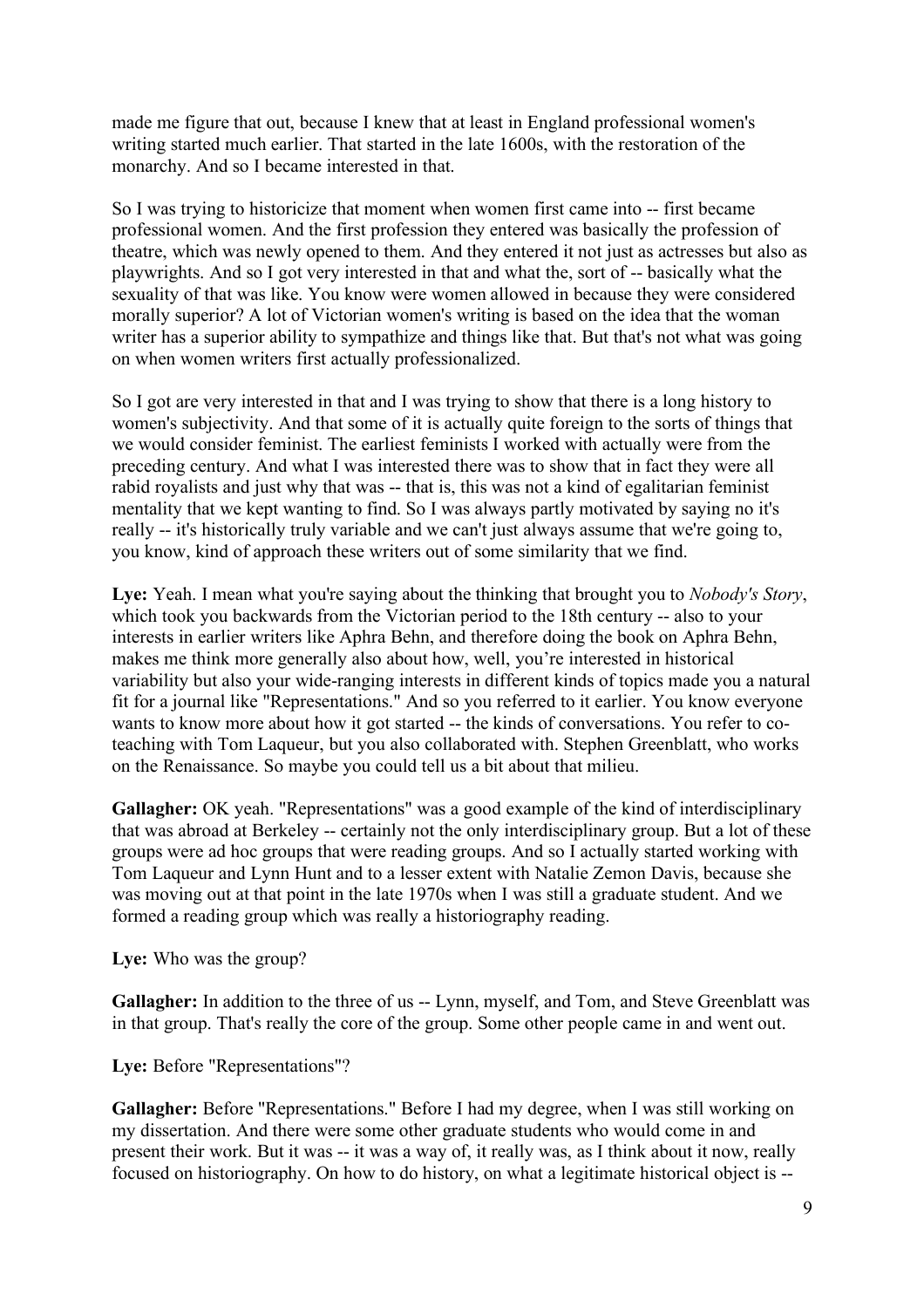made me figure that out, because I knew that at least in England professional women's writing started much earlier. That started in the late 1600s, with the restoration of the monarchy. And so I became interested in that.

So I was trying to historicize that moment when women first came into -- first became professional women. And the first profession they entered was basically the profession of theatre, which was newly opened to them. And they entered it not just as actresses but also as playwrights. And so I got very interested in that and what the, sort of -- basically what the sexuality of that was like. You know were women allowed in because they were considered morally superior? A lot of Victorian women's writing is based on the idea that the woman writer has a superior ability to sympathize and things like that. But that's not what was going on when women writers first actually professionalized.

So I got are very interested in that and I was trying to show that there is a long history to women's subjectivity. And that some of it is actually quite foreign to the sorts of things that we would consider feminist. The earliest feminists I worked with actually were from the preceding century. And what I was interested there was to show that in fact they were all rabid royalists and just why that was -- that is, this was not a kind of egalitarian feminist mentality that we kept wanting to find. So I was always partly motivated by saying no it's really -- it's historically truly variable and we can't just always assume that we're going to, you know, kind of approach these writers out of some similarity that we find.

**Lye:** Yeah. I mean what you're saying about the thinking that brought you to *Nobody's Story*, which took you backwards from the Victorian period to the 18th century -- also to your interests in earlier writers like Aphra Behn, and therefore doing the book on Aphra Behn, makes me think more generally also about how, well, you're interested in historical variability but also your wide-ranging interests in different kinds of topics made you a natural fit for a journal like "Representations." And so you referred to it earlier. You know everyone wants to know more about how it got started -- the kinds of conversations. You refer to coteaching with Tom Laqueur, but you also collaborated with. Stephen Greenblatt, who works on the Renaissance. So maybe you could tell us a bit about that milieu.

**Gallagher:** OK yeah. "Representations" was a good example of the kind of interdisciplinary that was abroad at Berkeley -- certainly not the only interdisciplinary group. But a lot of these groups were ad hoc groups that were reading groups. And so I actually started working with Tom Laqueur and Lynn Hunt and to a lesser extent with Natalie Zemon Davis, because she was moving out at that point in the late 1970s when I was still a graduate student. And we formed a reading group which was really a historiography reading.

**Lye:** Who was the group?

Gallagher: In addition to the three of us -- Lynn, myself, and Tom, and Steve Greenblatt was in that group. That's really the core of the group. Some other people came in and went out.

Lye: Before "Representations"?

Gallagher: Before "Representations." Before I had my degree, when I was still working on my dissertation. And there were some other graduate students who would come in and present their work. But it was -- it was a way of, it really was, as I think about it now, really focused on historiography. On how to do history, on what a legitimate historical object is --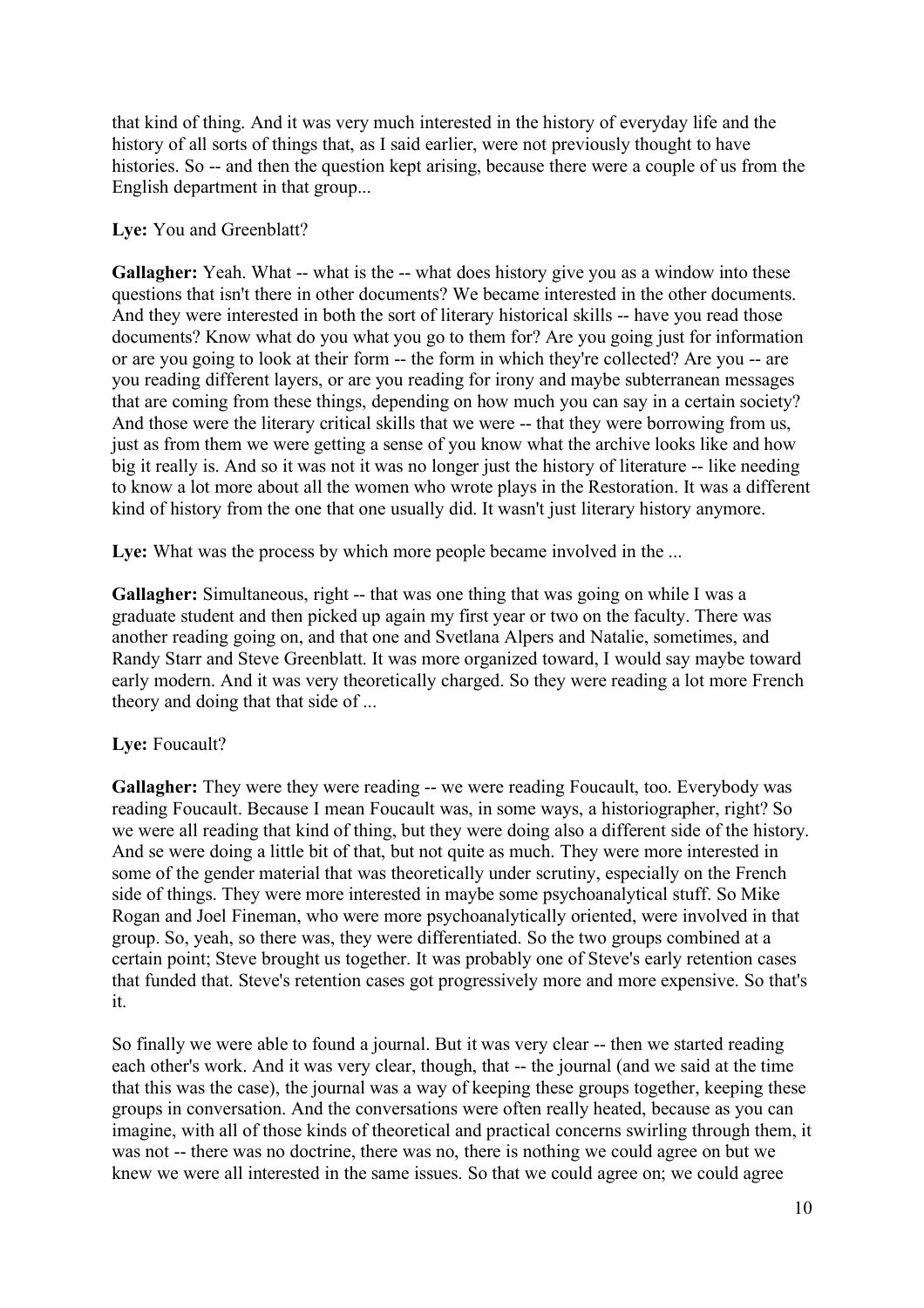that kind of thing. And it was very much interested in the history of everyday life and the history of all sorts of things that, as I said earlier, were not previously thought to have histories. So -- and then the question kept arising, because there were a couple of us from the English department in that group...

# **Lye:** You and Greenblatt?

Gallagher: Yeah. What -- what is the -- what does history give you as a window into these questions that isn't there in other documents? We became interested in the other documents. And they were interested in both the sort of literary historical skills -- have you read those documents? Know what do you what you go to them for? Are you going just for information or are you going to look at their form -- the form in which they're collected? Are you -- are you reading different layers, or are you reading for irony and maybe subterranean messages that are coming from these things, depending on how much you can say in a certain society? And those were the literary critical skills that we were -- that they were borrowing from us, just as from them we were getting a sense of you know what the archive looks like and how big it really is. And so it was not it was no longer just the history of literature -- like needing to know a lot more about all the women who wrote plays in the Restoration. It was a different kind of history from the one that one usually did. It wasn't just literary history anymore.

Lye: What was the process by which more people became involved in the ...

Gallagher: Simultaneous, right -- that was one thing that was going on while I was a graduate student and then picked up again my first year or two on the faculty. There was another reading going on, and that one and Svetlana Alpers and Natalie, sometimes, and Randy Starr and Steve Greenblatt. It was more organized toward, I would say maybe toward early modern. And it was very theoretically charged. So they were reading a lot more French theory and doing that that side of ...

# Lve: Foucault?

**Gallagher:** They were they were reading -- we were reading Foucault, too. Everybody was reading Foucault. Because I mean Foucault was, in some ways, a historiographer, right? So we were all reading that kind of thing, but they were doing also a different side of the history. And se were doing a little bit of that, but not quite as much. They were more interested in some of the gender material that was theoretically under scrutiny, especially on the French side of things. They were more interested in maybe some psychoanalytical stuff. So Mike Rogan and Joel Fineman, who were more psychoanalytically oriented, were involved in that group. So, yeah, so there was, they were differentiated. So the two groups combined at a certain point; Steve brought us together. It was probably one of Steve's early retention cases that funded that. Steve's retention cases got progressively more and more expensive. So that's it.

So finally we were able to found a journal. But it was very clear -- then we started reading each other's work. And it was very clear, though, that -- the journal (and we said at the time that this was the case), the journal was a way of keeping these groups together, keeping these groups in conversation. And the conversations were often really heated, because as you can imagine, with all of those kinds of theoretical and practical concerns swirling through them, it was not -- there was no doctrine, there was no, there is nothing we could agree on but we knew we were all interested in the same issues. So that we could agree on; we could agree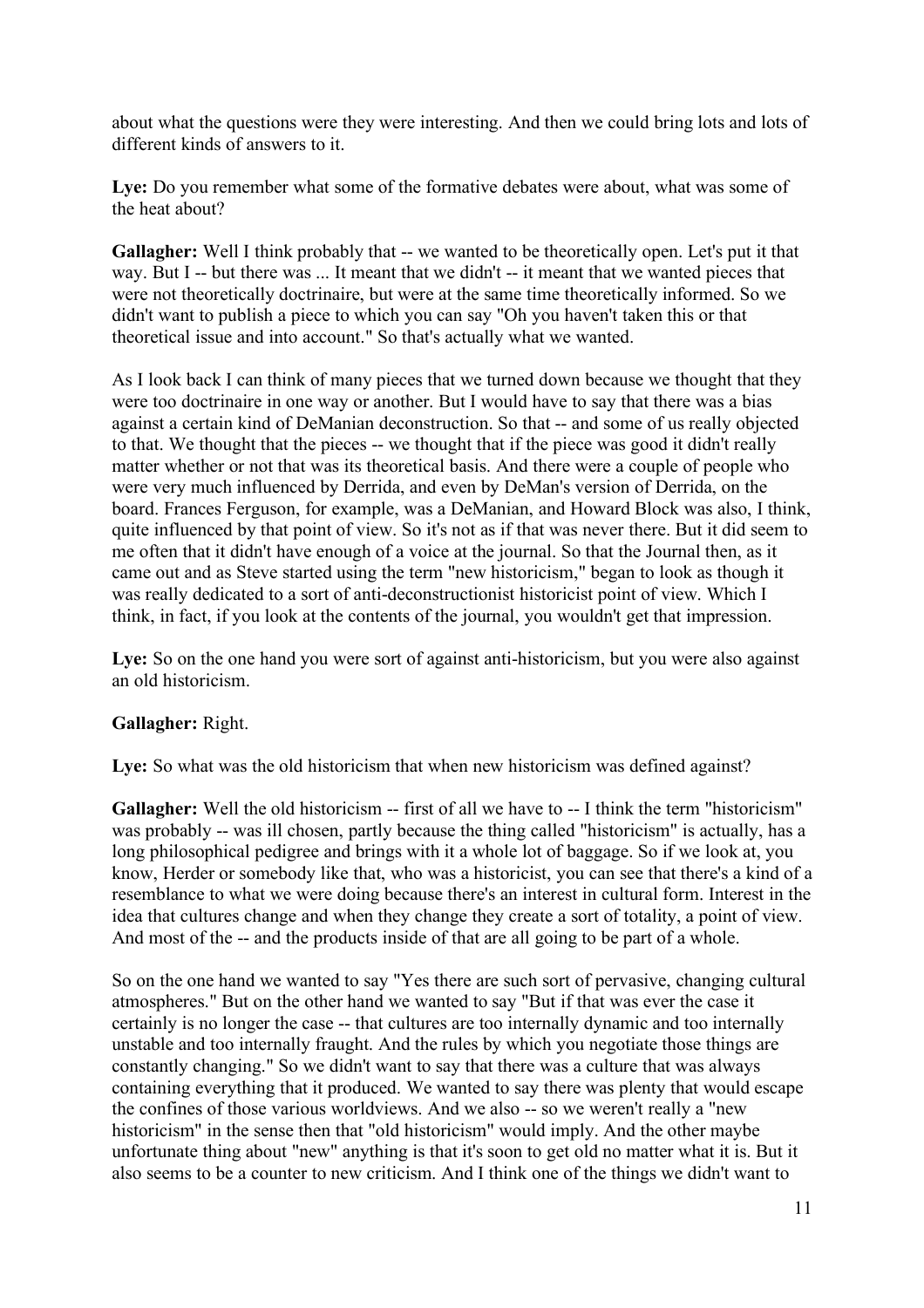about what the questions were they were interesting. And then we could bring lots and lots of different kinds of answers to it.

Lye: Do you remember what some of the formative debates were about, what was some of the heat about?

**Gallagher:** Well I think probably that -- we wanted to be theoretically open. Let's put it that way. But I -- but there was ... It meant that we didn't -- it meant that we wanted pieces that were not theoretically doctrinaire, but were at the same time theoretically informed. So we didn't want to publish a piece to which you can say "Oh you haven't taken this or that theoretical issue and into account." So that's actually what we wanted.

As I look back I can think of many pieces that we turned down because we thought that they were too doctrinaire in one way or another. But I would have to say that there was a bias against a certain kind of DeManian deconstruction. So that -- and some of us really objected to that. We thought that the pieces -- we thought that if the piece was good it didn't really matter whether or not that was its theoretical basis. And there were a couple of people who were very much influenced by Derrida, and even by DeMan's version of Derrida, on the board. Frances Ferguson, for example, was a DeManian, and Howard Block was also, I think, quite influenced by that point of view. So it's not as if that was never there. But it did seem to me often that it didn't have enough of a voice at the journal. So that the Journal then, as it came out and as Steve started using the term "new historicism," began to look as though it was really dedicated to a sort of anti-deconstructionist historicist point of view. Which I think, in fact, if you look at the contents of the journal, you wouldn't get that impression.

Lye: So on the one hand you were sort of against anti-historicism, but you were also against an old historicism.

# **Gallagher:** Right.

Lye: So what was the old historicism that when new historicism was defined against?

Gallagher: Well the old historicism -- first of all we have to -- I think the term "historicism" was probably -- was ill chosen, partly because the thing called "historicism" is actually, has a long philosophical pedigree and brings with it a whole lot of baggage. So if we look at, you know, Herder or somebody like that, who was a historicist, you can see that there's a kind of a resemblance to what we were doing because there's an interest in cultural form. Interest in the idea that cultures change and when they change they create a sort of totality, a point of view. And most of the -- and the products inside of that are all going to be part of a whole.

So on the one hand we wanted to say "Yes there are such sort of pervasive, changing cultural atmospheres." But on the other hand we wanted to say "But if that was ever the case it certainly is no longer the case -- that cultures are too internally dynamic and too internally unstable and too internally fraught. And the rules by which you negotiate those things are constantly changing." So we didn't want to say that there was a culture that was always containing everything that it produced. We wanted to say there was plenty that would escape the confines of those various worldviews. And we also -- so we weren't really a "new historicism" in the sense then that "old historicism" would imply. And the other maybe unfortunate thing about "new" anything is that it's soon to get old no matter what it is. But it also seems to be a counter to new criticism. And I think one of the things we didn't want to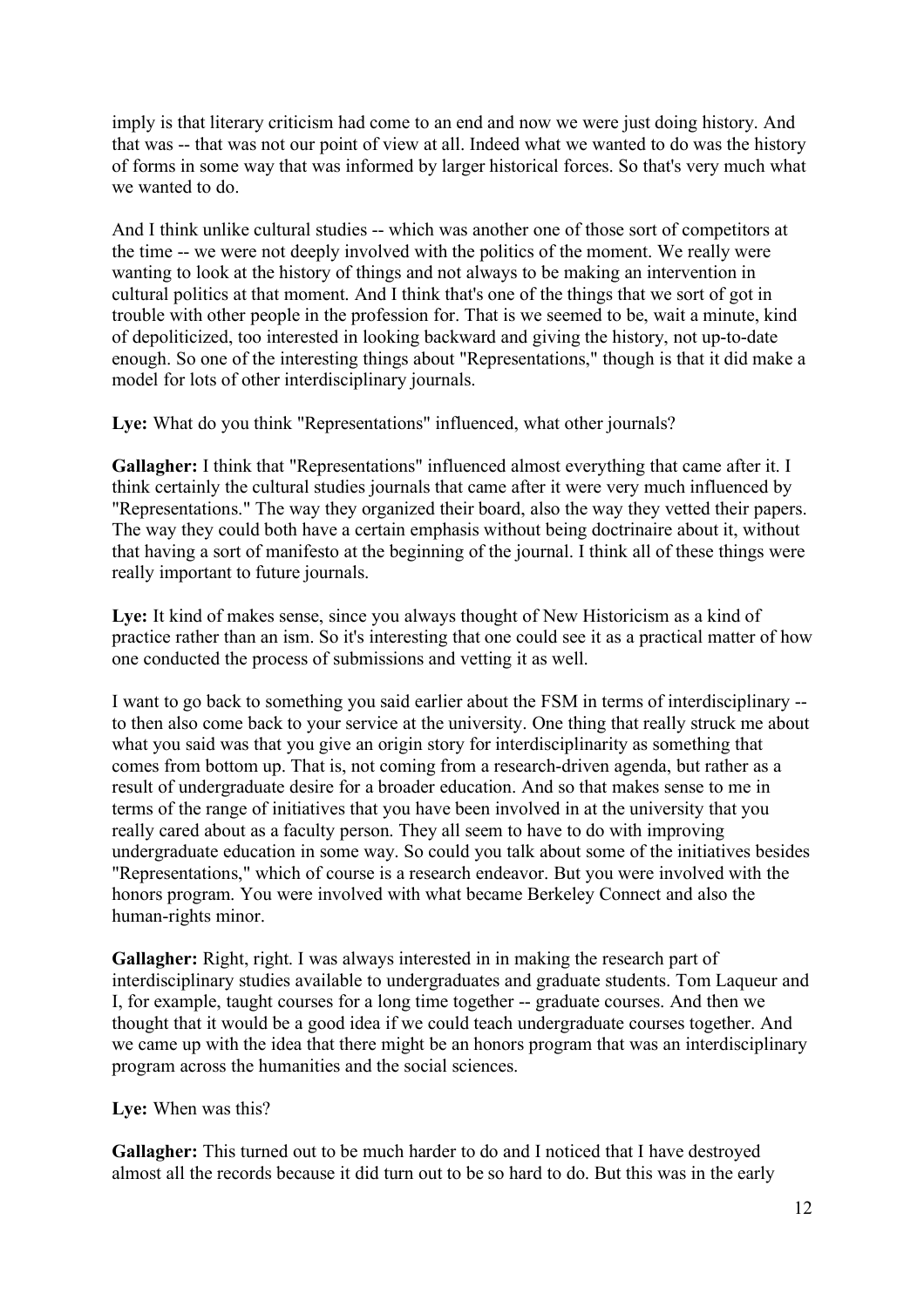imply is that literary criticism had come to an end and now we were just doing history. And that was -- that was not our point of view at all. Indeed what we wanted to do was the history of forms in some way that was informed by larger historical forces. So that's very much what we wanted to do.

And I think unlike cultural studies -- which was another one of those sort of competitors at the time -- we were not deeply involved with the politics of the moment. We really were wanting to look at the history of things and not always to be making an intervention in cultural politics at that moment. And I think that's one of the things that we sort of got in trouble with other people in the profession for. That is we seemed to be, wait a minute, kind of depoliticized, too interested in looking backward and giving the history, not up-to-date enough. So one of the interesting things about "Representations," though is that it did make a model for lots of other interdisciplinary journals.

Lye: What do you think "Representations" influenced, what other journals?

**Gallagher:** I think that "Representations" influenced almost everything that came after it. I think certainly the cultural studies journals that came after it were very much influenced by "Representations." The way they organized their board, also the way they vetted their papers. The way they could both have a certain emphasis without being doctrinaire about it, without that having a sort of manifesto at the beginning of the journal. I think all of these things were really important to future journals.

Lye: It kind of makes sense, since you always thought of New Historicism as a kind of practice rather than an ism. So it's interesting that one could see it as a practical matter of how one conducted the process of submissions and vetting it as well.

I want to go back to something you said earlier about the FSM in terms of interdisciplinary - to then also come back to your service at the university. One thing that really struck me about what you said was that you give an origin story for interdisciplinarity as something that comes from bottom up. That is, not coming from a research-driven agenda, but rather as a result of undergraduate desire for a broader education. And so that makes sense to me in terms of the range of initiatives that you have been involved in at the university that you really cared about as a faculty person. They all seem to have to do with improving undergraduate education in some way. So could you talk about some of the initiatives besides "Representations," which of course is a research endeavor. But you were involved with the honors program. You were involved with what became Berkeley Connect and also the human-rights minor.

**Gallagher:** Right, right. I was always interested in in making the research part of interdisciplinary studies available to undergraduates and graduate students. Tom Laqueur and I, for example, taught courses for a long time together -- graduate courses. And then we thought that it would be a good idea if we could teach undergraduate courses together. And we came up with the idea that there might be an honors program that was an interdisciplinary program across the humanities and the social sciences.

**Lye:** When was this?

Gallagher: This turned out to be much harder to do and I noticed that I have destroyed almost all the records because it did turn out to be so hard to do. But this was in the early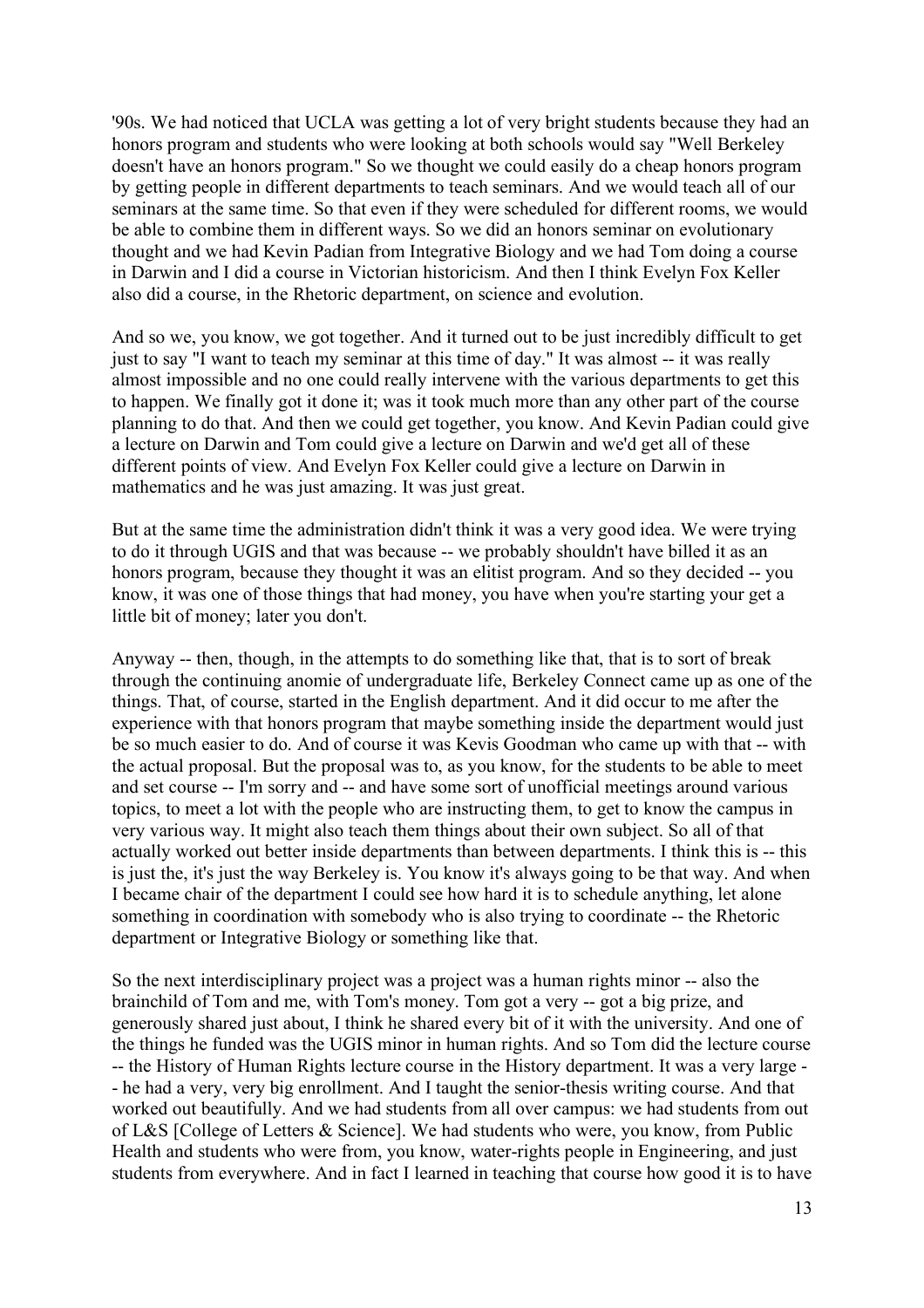'90s. We had noticed that UCLA was getting a lot of very bright students because they had an honors program and students who were looking at both schools would say "Well Berkeley doesn't have an honors program." So we thought we could easily do a cheap honors program by getting people in different departments to teach seminars. And we would teach all of our seminars at the same time. So that even if they were scheduled for different rooms, we would be able to combine them in different ways. So we did an honors seminar on evolutionary thought and we had Kevin Padian from Integrative Biology and we had Tom doing a course in Darwin and I did a course in Victorian historicism. And then I think Evelyn Fox Keller also did a course, in the Rhetoric department, on science and evolution.

And so we, you know, we got together. And it turned out to be just incredibly difficult to get just to say "I want to teach my seminar at this time of day." It was almost -- it was really almost impossible and no one could really intervene with the various departments to get this to happen. We finally got it done it; was it took much more than any other part of the course planning to do that. And then we could get together, you know. And Kevin Padian could give a lecture on Darwin and Tom could give a lecture on Darwin and we'd get all of these different points of view. And Evelyn Fox Keller could give a lecture on Darwin in mathematics and he was just amazing. It was just great.

But at the same time the administration didn't think it was a very good idea. We were trying to do it through UGIS and that was because -- we probably shouldn't have billed it as an honors program, because they thought it was an elitist program. And so they decided -- you know, it was one of those things that had money, you have when you're starting your get a little bit of money; later you don't.

Anyway -- then, though, in the attempts to do something like that, that is to sort of break through the continuing anomie of undergraduate life, Berkeley Connect came up as one of the things. That, of course, started in the English department. And it did occur to me after the experience with that honors program that maybe something inside the department would just be so much easier to do. And of course it was Kevis Goodman who came up with that -- with the actual proposal. But the proposal was to, as you know, for the students to be able to meet and set course -- I'm sorry and -- and have some sort of unofficial meetings around various topics, to meet a lot with the people who are instructing them, to get to know the campus in very various way. It might also teach them things about their own subject. So all of that actually worked out better inside departments than between departments. I think this is -- this is just the, it's just the way Berkeley is. You know it's always going to be that way. And when I became chair of the department I could see how hard it is to schedule anything, let alone something in coordination with somebody who is also trying to coordinate -- the Rhetoric department or Integrative Biology or something like that.

So the next interdisciplinary project was a project was a human rights minor -- also the brainchild of Tom and me, with Tom's money. Tom got a very -- got a big prize, and generously shared just about, I think he shared every bit of it with the university. And one of the things he funded was the UGIS minor in human rights. And so Tom did the lecture course -- the History of Human Rights lecture course in the History department. It was a very large - - he had a very, very big enrollment. And I taught the senior-thesis writing course. And that worked out beautifully. And we had students from all over campus: we had students from out of L&S [College of Letters & Science]. We had students who were, you know, from Public Health and students who were from, you know, water-rights people in Engineering, and just students from everywhere. And in fact I learned in teaching that course how good it is to have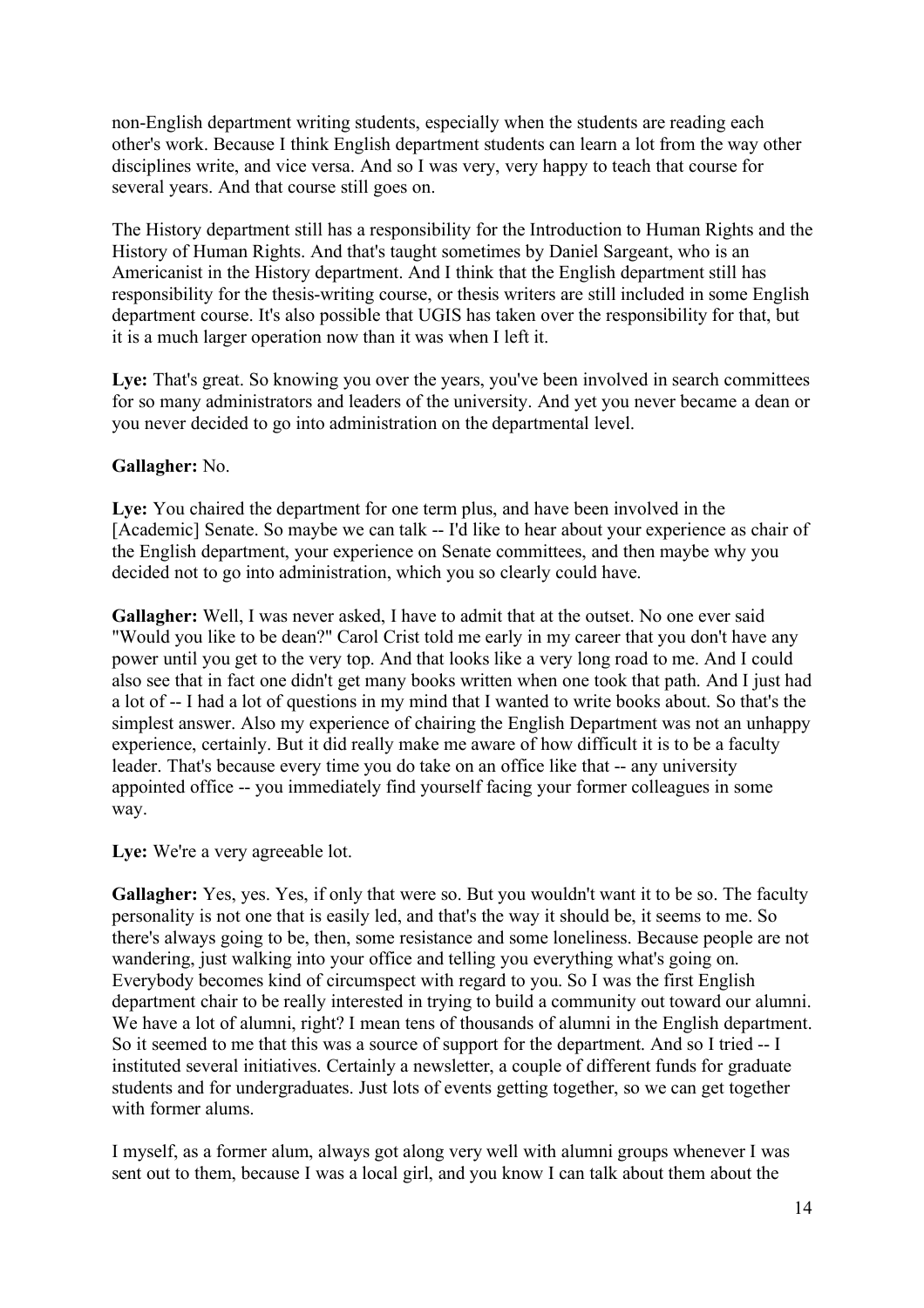non-English department writing students, especially when the students are reading each other's work. Because I think English department students can learn a lot from the way other disciplines write, and vice versa. And so I was very, very happy to teach that course for several years. And that course still goes on.

The History department still has a responsibility for the Introduction to Human Rights and the History of Human Rights. And that's taught sometimes by Daniel Sargeant, who is an Americanist in the History department. And I think that the English department still has responsibility for the thesis-writing course, or thesis writers are still included in some English department course. It's also possible that UGIS has taken over the responsibility for that, but it is a much larger operation now than it was when I left it.

Lye: That's great. So knowing you over the years, you've been involved in search committees for so many administrators and leaders of the university. And yet you never became a dean or you never decided to go into administration on the departmental level.

#### **Gallagher:** No.

**Lye:** You chaired the department for one term plus, and have been involved in the [Academic] Senate. So maybe we can talk -- I'd like to hear about your experience as chair of the English department, your experience on Senate committees, and then maybe why you decided not to go into administration, which you so clearly could have.

**Gallagher:** Well, I was never asked, I have to admit that at the outset. No one ever said "Would you like to be dean?" Carol Crist told me early in my career that you don't have any power until you get to the very top. And that looks like a very long road to me. And I could also see that in fact one didn't get many books written when one took that path. And I just had a lot of -- I had a lot of questions in my mind that I wanted to write books about. So that's the simplest answer. Also my experience of chairing the English Department was not an unhappy experience, certainly. But it did really make me aware of how difficult it is to be a faculty leader. That's because every time you do take on an office like that -- any university appointed office -- you immediately find yourself facing your former colleagues in some way.

Lye: We're a very agreeable lot.

Gallagher: Yes, yes. Yes, if only that were so. But you wouldn't want it to be so. The faculty personality is not one that is easily led, and that's the way it should be, it seems to me. So there's always going to be, then, some resistance and some loneliness. Because people are not wandering, just walking into your office and telling you everything what's going on. Everybody becomes kind of circumspect with regard to you. So I was the first English department chair to be really interested in trying to build a community out toward our alumni. We have a lot of alumni, right? I mean tens of thousands of alumni in the English department. So it seemed to me that this was a source of support for the department. And so I tried -- I instituted several initiatives. Certainly a newsletter, a couple of different funds for graduate students and for undergraduates. Just lots of events getting together, so we can get together with former alums.

I myself, as a former alum, always got along very well with alumni groups whenever I was sent out to them, because I was a local girl, and you know I can talk about them about the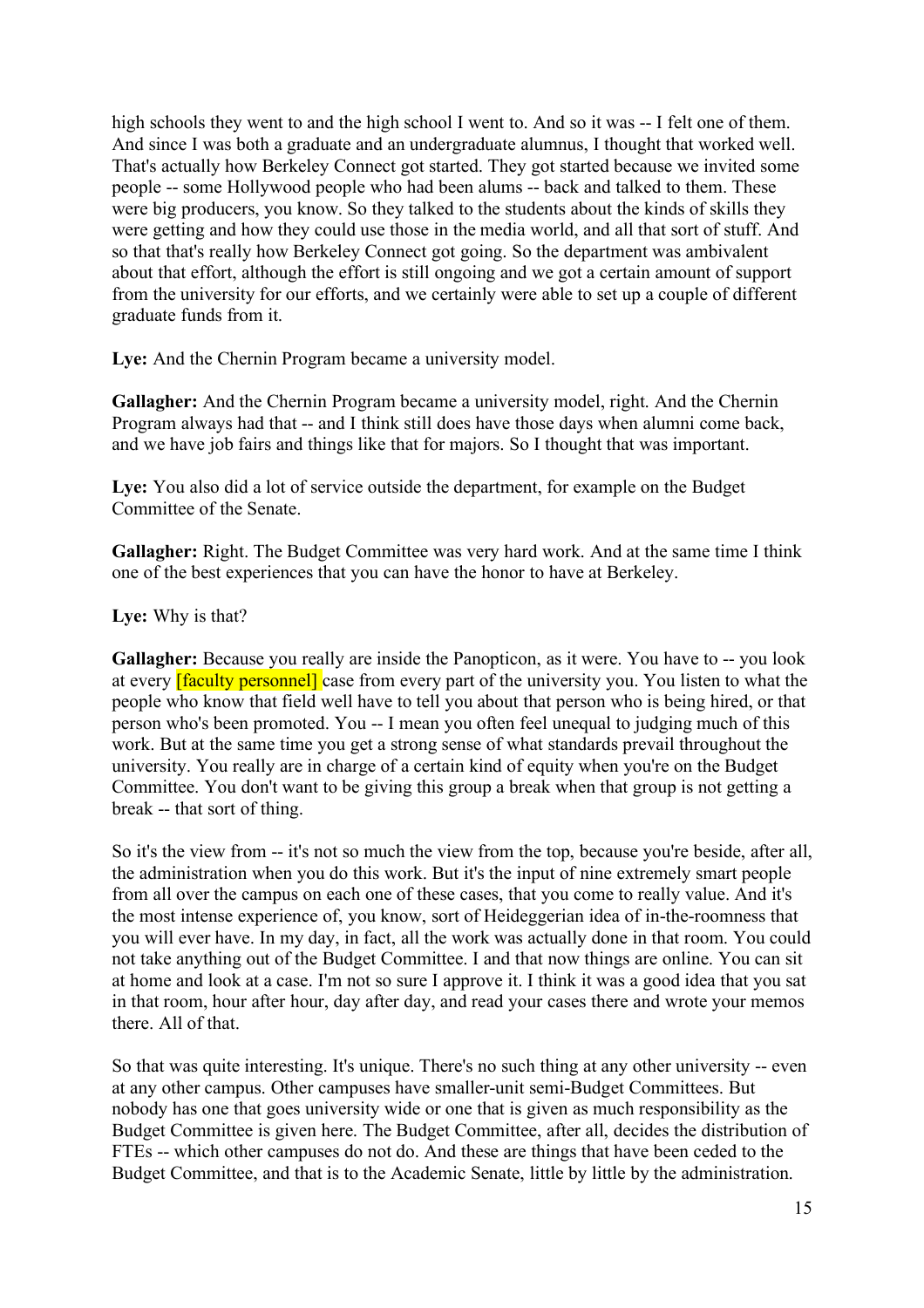high schools they went to and the high school I went to. And so it was -- I felt one of them. And since I was both a graduate and an undergraduate alumnus, I thought that worked well. That's actually how Berkeley Connect got started. They got started because we invited some people -- some Hollywood people who had been alums -- back and talked to them. These were big producers, you know. So they talked to the students about the kinds of skills they were getting and how they could use those in the media world, and all that sort of stuff. And so that that's really how Berkeley Connect got going. So the department was ambivalent about that effort, although the effort is still ongoing and we got a certain amount of support from the university for our efforts, and we certainly were able to set up a couple of different graduate funds from it.

Lye: And the Chernin Program became a university model.

**Gallagher:** And the Chernin Program became a university model, right. And the Chernin Program always had that -- and I think still does have those days when alumni come back, and we have job fairs and things like that for majors. So I thought that was important.

Lye: You also did a lot of service outside the department, for example on the Budget Committee of the Senate.

**Gallagher:** Right. The Budget Committee was very hard work. And at the same time I think one of the best experiences that you can have the honor to have at Berkeley.

**Lye:** Why is that?

**Gallagher:** Because you really are inside the Panopticon, as it were. You have to -- you look at every **[faculty personnel]** case from every part of the university you. You listen to what the people who know that field well have to tell you about that person who is being hired, or that person who's been promoted. You -- I mean you often feel unequal to judging much of this work. But at the same time you get a strong sense of what standards prevail throughout the university. You really are in charge of a certain kind of equity when you're on the Budget Committee. You don't want to be giving this group a break when that group is not getting a break -- that sort of thing.

So it's the view from -- it's not so much the view from the top, because you're beside, after all, the administration when you do this work. But it's the input of nine extremely smart people from all over the campus on each one of these cases, that you come to really value. And it's the most intense experience of, you know, sort of Heideggerian idea of in-the-roomness that you will ever have. In my day, in fact, all the work was actually done in that room. You could not take anything out of the Budget Committee. I and that now things are online. You can sit at home and look at a case. I'm not so sure I approve it. I think it was a good idea that you sat in that room, hour after hour, day after day, and read your cases there and wrote your memos there. All of that.

So that was quite interesting. It's unique. There's no such thing at any other university -- even at any other campus. Other campuses have smaller-unit semi-Budget Committees. But nobody has one that goes university wide or one that is given as much responsibility as the Budget Committee is given here. The Budget Committee, after all, decides the distribution of FTEs -- which other campuses do not do. And these are things that have been ceded to the Budget Committee, and that is to the Academic Senate, little by little by the administration.